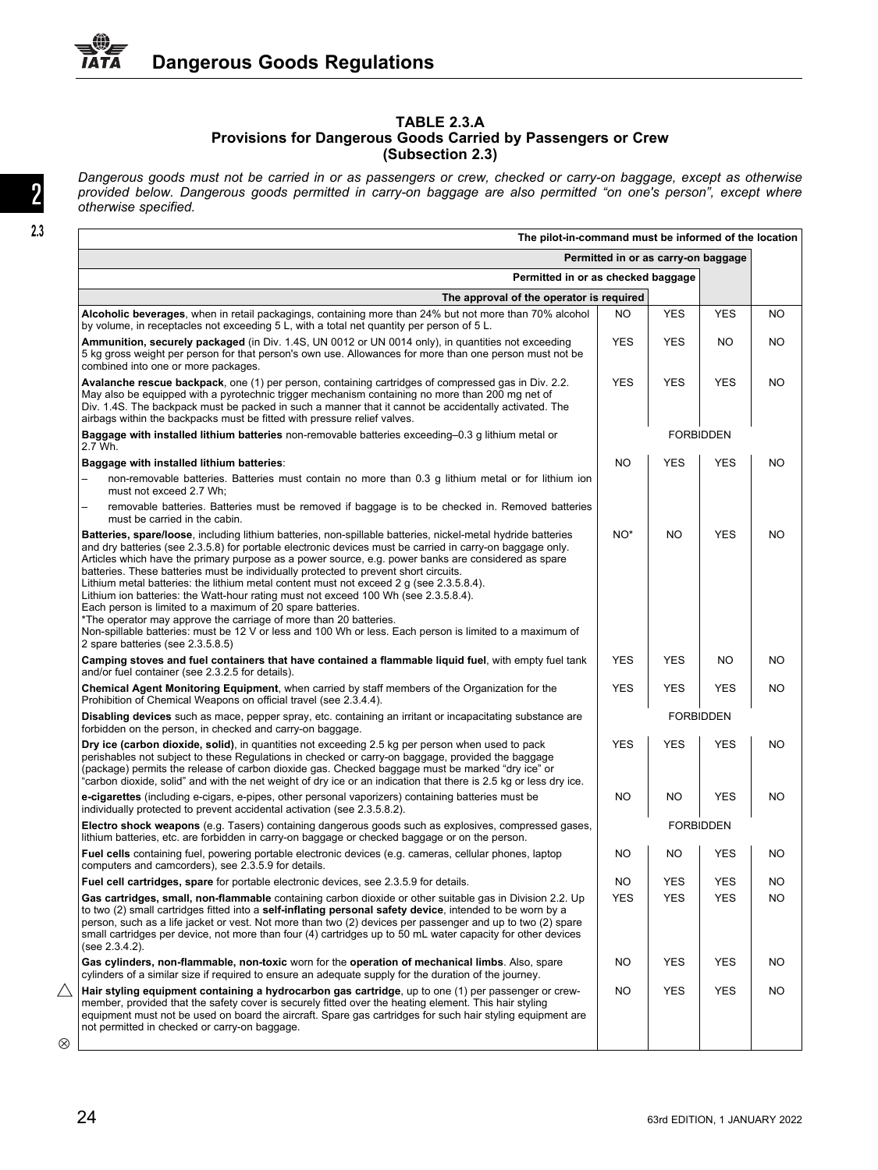## **TABLE 2.3.A Provisions for Dangerous Goods Carried by Passengers or Crew (Subsection 2.3)**

Dangerous goods must not be carried in or as passengers or crew, checked or carry-on baggage, except as otherwise provided below. Dangerous goods permitted in carry-on baggage are also permitted "on one's person", except where<br>otherwise specified.

| The pilot-in-command must be informed of the location                                                                                                                                                                                                                                                                                                                                                                                                                                                                                                                                                                                                                    |                  |                  |            |           |  |  |  |  |
|--------------------------------------------------------------------------------------------------------------------------------------------------------------------------------------------------------------------------------------------------------------------------------------------------------------------------------------------------------------------------------------------------------------------------------------------------------------------------------------------------------------------------------------------------------------------------------------------------------------------------------------------------------------------------|------------------|------------------|------------|-----------|--|--|--|--|
| Permitted in or as carry-on baggage                                                                                                                                                                                                                                                                                                                                                                                                                                                                                                                                                                                                                                      |                  |                  |            |           |  |  |  |  |
| Permitted in or as checked baggage                                                                                                                                                                                                                                                                                                                                                                                                                                                                                                                                                                                                                                       |                  |                  |            |           |  |  |  |  |
| The approval of the operator is required                                                                                                                                                                                                                                                                                                                                                                                                                                                                                                                                                                                                                                 |                  |                  |            |           |  |  |  |  |
| Alcoholic beverages, when in retail packagings, containing more than 24% but not more than 70% alcohol<br>by volume, in receptacles not exceeding 5 L, with a total net quantity per person of 5 L.                                                                                                                                                                                                                                                                                                                                                                                                                                                                      | NO.              | <b>YES</b>       | <b>YES</b> | NO.       |  |  |  |  |
| Ammunition, securely packaged (in Div. 1.4S, UN 0012 or UN 0014 only), in quantities not exceeding<br>5 kg gross weight per person for that person's own use. Allowances for more than one person must not be<br>combined into one or more packages.                                                                                                                                                                                                                                                                                                                                                                                                                     | <b>YES</b>       | <b>YES</b>       | NO         | NO.       |  |  |  |  |
| Avalanche rescue backpack, one (1) per person, containing cartridges of compressed gas in Div. 2.2.<br>May also be equipped with a pyrotechnic trigger mechanism containing no more than 200 mg net of<br>Div. 1.4S. The backpack must be packed in such a manner that it cannot be accidentally activated. The<br>airbags within the backpacks must be fitted with pressure relief valves.                                                                                                                                                                                                                                                                              | <b>YES</b>       | <b>YES</b>       | <b>YES</b> | NO.       |  |  |  |  |
| Baggage with installed lithium batteries non-removable batteries exceeding-0.3 g lithium metal or<br>2.7 Wh.                                                                                                                                                                                                                                                                                                                                                                                                                                                                                                                                                             | <b>FORBIDDEN</b> |                  |            |           |  |  |  |  |
| Baggage with installed lithium batteries:                                                                                                                                                                                                                                                                                                                                                                                                                                                                                                                                                                                                                                | <b>NO</b>        | <b>YES</b>       | <b>YES</b> | NO.       |  |  |  |  |
| non-removable batteries. Batteries must contain no more than 0.3 g lithium metal or for lithium ion<br>must not exceed 2.7 Wh;                                                                                                                                                                                                                                                                                                                                                                                                                                                                                                                                           |                  |                  |            |           |  |  |  |  |
| removable batteries. Batteries must be removed if baggage is to be checked in. Removed batteries<br>must be carried in the cabin.                                                                                                                                                                                                                                                                                                                                                                                                                                                                                                                                        |                  |                  |            |           |  |  |  |  |
| Batteries, spare/loose, including lithium batteries, non-spillable batteries, nickel-metal hydride batteries<br>and dry batteries (see 2.3.5.8) for portable electronic devices must be carried in carry-on baggage only.<br>Articles which have the primary purpose as a power source, e.g. power banks are considered as spare<br>batteries. These batteries must be individually protected to prevent short circuits.<br>Lithium metal batteries: the lithium metal content must not exceed 2 g (see 2.3.5.8.4).<br>Lithium ion batteries: the Watt-hour rating must not exceed 100 Wh (see 2.3.5.8.4).<br>Each person is limited to a maximum of 20 spare batteries. | NO <sup>*</sup>  | <b>NO</b>        | <b>YES</b> | <b>NO</b> |  |  |  |  |
| *The operator may approve the carriage of more than 20 batteries.<br>Non-spillable batteries: must be 12 V or less and 100 Wh or less. Each person is limited to a maximum of<br>2 spare batteries (see 2.3.5.8.5)                                                                                                                                                                                                                                                                                                                                                                                                                                                       |                  |                  |            |           |  |  |  |  |
| Camping stoves and fuel containers that have contained a flammable liquid fuel, with empty fuel tank<br>and/or fuel container (see 2.3.2.5 for details).                                                                                                                                                                                                                                                                                                                                                                                                                                                                                                                 | <b>YES</b>       | <b>YES</b>       | NO         | NO.       |  |  |  |  |
| Chemical Agent Monitoring Equipment, when carried by staff members of the Organization for the<br>Prohibition of Chemical Weapons on official travel (see 2.3.4.4).                                                                                                                                                                                                                                                                                                                                                                                                                                                                                                      | <b>YES</b>       | <b>YES</b>       | <b>YES</b> | NO.       |  |  |  |  |
| <b>Disabling devices</b> such as mace, pepper spray, etc. containing an irritant or incapacitating substance are<br>forbidden on the person, in checked and carry-on baggage.                                                                                                                                                                                                                                                                                                                                                                                                                                                                                            |                  | <b>FORBIDDEN</b> |            |           |  |  |  |  |
| Dry ice (carbon dioxide, solid), in quantities not exceeding 2.5 kg per person when used to pack<br>perishables not subject to these Regulations in checked or carry-on baggage, provided the baggage<br>(package) permits the release of carbon dioxide gas. Checked baggage must be marked "dry ice" or<br>"carbon dioxide, solid" and with the net weight of dry ice or an indication that there is 2.5 kg or less dry ice.                                                                                                                                                                                                                                           | <b>YES</b>       | <b>YES</b>       | <b>YES</b> | NO.       |  |  |  |  |
| e-cigarettes (including e-cigars, e-pipes, other personal vaporizers) containing batteries must be<br>individually protected to prevent accidental activation (see 2.3.5.8.2).                                                                                                                                                                                                                                                                                                                                                                                                                                                                                           | <b>NO</b>        | NO.              | <b>YES</b> | NO.       |  |  |  |  |
| Electro shock weapons (e.g. Tasers) containing dangerous goods such as explosives, compressed gases,<br>lithium batteries, etc. are forbidden in carry-on baggage or checked baggage or on the person.                                                                                                                                                                                                                                                                                                                                                                                                                                                                   |                  |                  |            |           |  |  |  |  |
| Fuel cells containing fuel, powering portable electronic devices (e.g. cameras, cellular phones, laptop<br>computers and camcorders), see 2.3.5.9 for details.                                                                                                                                                                                                                                                                                                                                                                                                                                                                                                           | <b>NO</b>        | <b>NO</b>        | <b>YES</b> | NO.       |  |  |  |  |
| Fuel cell cartridges, spare for portable electronic devices, see 2.3.5.9 for details.                                                                                                                                                                                                                                                                                                                                                                                                                                                                                                                                                                                    | <b>NO</b>        | <b>YES</b>       | <b>YES</b> | NO.       |  |  |  |  |
| Gas cartridges, small, non-flammable containing carbon dioxide or other suitable gas in Division 2.2. Up<br>to two (2) small cartridges fitted into a <b>self-inflating personal safety device</b> , intended to be worn by a<br>person, such as a life jacket or vest. Not more than two (2) devices per passenger and up to two (2) spare<br>small cartridges per device, not more than four (4) cartridges up to 50 mL water capacity for other devices<br>(see 2.3.4.2).                                                                                                                                                                                             | <b>YES</b>       | <b>YES</b>       | <b>YES</b> | NO.       |  |  |  |  |
| Gas cylinders, non-flammable, non-toxic worn for the operation of mechanical limbs. Also, spare<br>cylinders of a similar size if required to ensure an adequate supply for the duration of the journey.                                                                                                                                                                                                                                                                                                                                                                                                                                                                 | <b>NO</b>        | <b>YES</b>       | <b>YES</b> | NO.       |  |  |  |  |
| Hair styling equipment containing a hydrocarbon gas cartridge, up to one (1) per passenger or crew-<br>member, provided that the safety cover is securely fitted over the heating element. This hair styling<br>equipment must not be used on board the aircraft. Spare gas cartridges for such hair styling equipment are<br>not permitted in checked or carry-on baggage.                                                                                                                                                                                                                                                                                              | <b>NO</b>        | <b>YES</b>       | <b>YES</b> | NO.       |  |  |  |  |